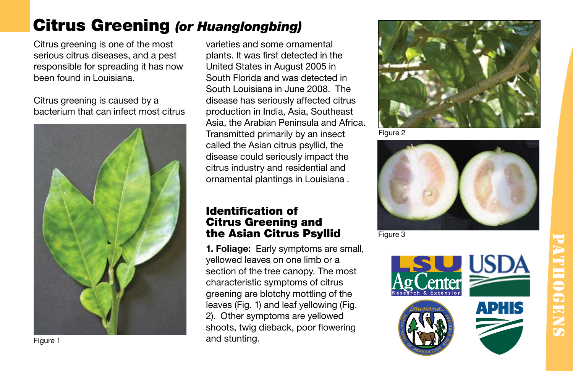## Citrus Greening *(or Huanglongbing)*

Citrus greening is one of the most serious citrus diseases, and a pest responsible for spreading it has now been found in Louisiana.

Citrus greening is caused by a bacterium that can infect most citrus



varieties and some ornamental plants. It was first detected in the United States in August 2005 in South Florida and was detected in South Louisiana in June 2008. The disease has seriously affected citrus production in India, Asia, Southeast Asia, the Arabian Peninsula and Africa. Transmitted primarily by an insect called the Asian citrus psyllid, the disease could seriously impact the citrus industry and residential and ornamental plantings in Louisiana .

## Identification of Citrus Greening and the Asian Citrus Psyllid

1. Foliage: Early symptoms are small, yellowed leaves on one limb or a section of the tree canopy. The most characteristic symptoms of citrus greening are blotchy mottling of the leaves (Fig. 1) and leaf yellowing (Fig. 2). Other symptoms are yellowed shoots, twig dieback, poor flowering and stunting.



Figure 2



Figure 3



Figure 1